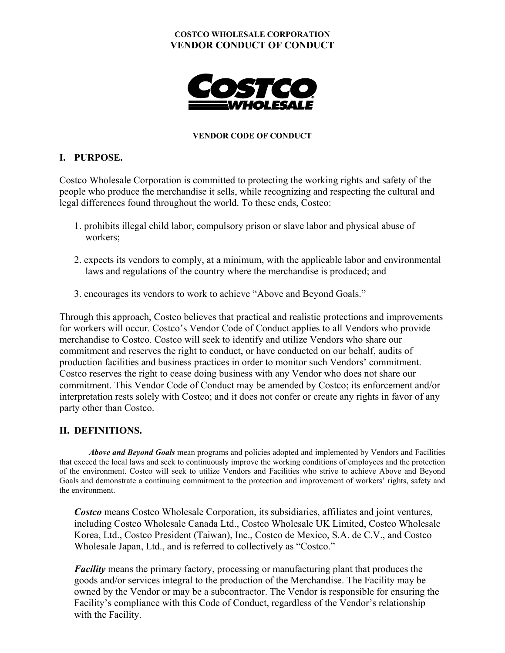#### **COSTCO WHOLESALE CORPORATION VENDOR CONDUCT OF CONDUCT**



#### **VENDOR CODE OF CONDUCT**

#### **I. PURPOSE.**

Costco Wholesale Corporation is committed to protecting the working rights and safety of the people who produce the merchandise it sells, while recognizing and respecting the cultural and legal differences found throughout the world. To these ends, Costco:

- 1. prohibits illegal child labor, compulsory prison or slave labor and physical abuse of workers;
- 2. expects its vendors to comply, at a minimum, with the applicable labor and environmental laws and regulations of the country where the merchandise is produced; and
- 3. encourages its vendors to work to achieve "Above and Beyond Goals."

Through this approach, Costco believes that practical and realistic protections and improvements for workers will occur. Costco's Vendor Code of Conduct applies to all Vendors who provide merchandise to Costco. Costco will seek to identify and utilize Vendors who share our commitment and reserves the right to conduct, or have conducted on our behalf, audits of production facilities and business practices in order to monitor such Vendors' commitment. Costco reserves the right to cease doing business with any Vendor who does not share our commitment. This Vendor Code of Conduct may be amended by Costco; its enforcement and/or interpretation rests solely with Costco; and it does not confer or create any rights in favor of any party other than Costco.

### **II. DEFINITIONS.**

*Above and Beyond Goals* mean programs and policies adopted and implemented by Vendors and Facilities that exceed the local laws and seek to continuously improve the working conditions of employees and the protection of the environment. Costco will seek to utilize Vendors and Facilities who strive to achieve Above and Beyond Goals and demonstrate a continuing commitment to the protection and improvement of workers' rights, safety and the environment.

*Costco* means Costco Wholesale Corporation, its subsidiaries, affiliates and joint ventures, including Costco Wholesale Canada Ltd., Costco Wholesale UK Limited, Costco Wholesale Korea, Ltd., Costco President (Taiwan), Inc., Costco de Mexico, S.A. de C.V., and Costco Wholesale Japan, Ltd., and is referred to collectively as "Costco."

*Facility* means the primary factory, processing or manufacturing plant that produces the goods and/or services integral to the production of the Merchandise. The Facility may be owned by the Vendor or may be a subcontractor. The Vendor is responsible for ensuring the Facility's compliance with this Code of Conduct, regardless of the Vendor's relationship with the Facility.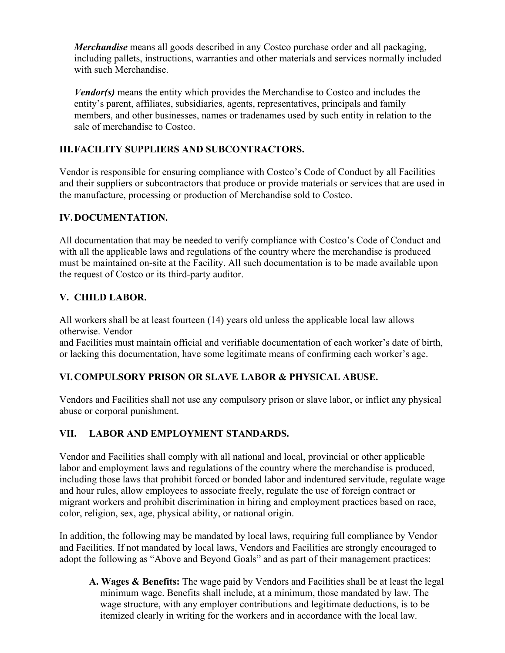*Merchandise* means all goods described in any Costco purchase order and all packaging, including pallets, instructions, warranties and other materials and services normally included with such Merchandise.

*Vendor(s)* means the entity which provides the Merchandise to Costco and includes the entity's parent, affiliates, subsidiaries, agents, representatives, principals and family members, and other businesses, names or tradenames used by such entity in relation to the sale of merchandise to Costco.

# **III. FACILITY SUPPLIERS AND SUBCONTRACTORS.**

Vendor is responsible for ensuring compliance with Costco's Code of Conduct by all Facilities and their suppliers or subcontractors that produce or provide materials or services that are used in the manufacture, processing or production of Merchandise sold to Costco.

## **IV. DOCUMENTATION.**

All documentation that may be needed to verify compliance with Costco's Code of Conduct and with all the applicable laws and regulations of the country where the merchandise is produced must be maintained on-site at the Facility. All such documentation is to be made available upon the request of Costco or its third-party auditor.

# **V. CHILD LABOR.**

All workers shall be at least fourteen (14) years old unless the applicable local law allows otherwise. Vendor

and Facilities must maintain official and verifiable documentation of each worker's date of birth, or lacking this documentation, have some legitimate means of confirming each worker's age.

# **VI. COMPULSORY PRISON OR SLAVE LABOR & PHYSICAL ABUSE.**

Vendors and Facilities shall not use any compulsory prison or slave labor, or inflict any physical abuse or corporal punishment.

# **VII. LABOR AND EMPLOYMENT STANDARDS.**

Vendor and Facilities shall comply with all national and local, provincial or other applicable labor and employment laws and regulations of the country where the merchandise is produced, including those laws that prohibit forced or bonded labor and indentured servitude, regulate wage and hour rules, allow employees to associate freely, regulate the use of foreign contract or migrant workers and prohibit discrimination in hiring and employment practices based on race, color, religion, sex, age, physical ability, or national origin.

In addition, the following may be mandated by local laws, requiring full compliance by Vendor and Facilities. If not mandated by local laws, Vendors and Facilities are strongly encouraged to adopt the following as "Above and Beyond Goals" and as part of their management practices:

**A. Wages & Benefits:** The wage paid by Vendors and Facilities shall be at least the legal minimum wage. Benefits shall include, at a minimum, those mandated by law. The wage structure, with any employer contributions and legitimate deductions, is to be itemized clearly in writing for the workers and in accordance with the local law.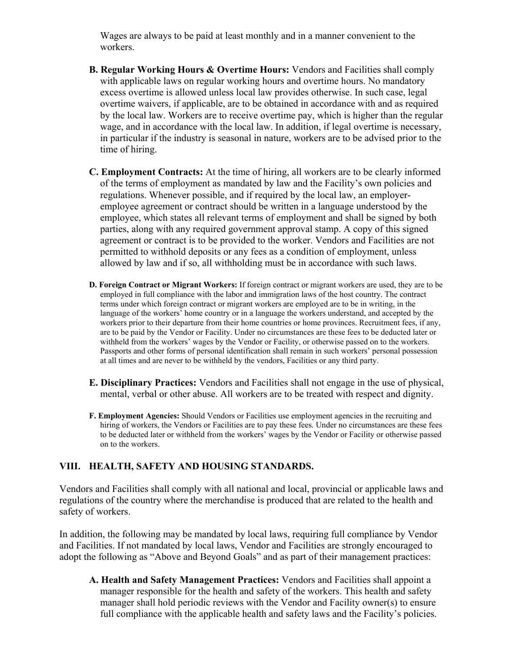Wages are always to be paid at least monthly and in a manner convenient to the workers.

- **B. Regular Working Hours & Overtime Hours:** Vendors and Facilities shall comply with applicable laws on regular working hours and overtime hours. No mandatory excess overtime is allowed unless local law provides otherwise. In such case, legal overtime waivers, if applicable, are to be obtained in accordance with and as required by the local law. Workers are to receive overtime pay, which is higher than the regular wage, and in accordance with the local law. In addition, if legal overtime is necessary, in particular if the industry is seasonal in nature, workers are to be advised prior to the time of hiring.
- **C. Employment Contracts:** At the time of hiring, all workers are to be clearly informed of the terms of employment as mandated by law and the Facility's own policies and regulations. Whenever possible, and if required by the local law, an employeremployee agreement or contract should be written in a language understood by the employee, which states all relevant terms of employment and shall be signed by both parties, along with any required government approval stamp. A copy of this signed agreement or contract is to be provided to the worker. Vendors and Facilities are not permitted to withhold deposits or any fees as a condition of employment, unless allowed by law and if so, all withholding must be in accordance with such laws.
- **D. Foreign Contract or Migrant Workers:** If foreign contract or migrant workers are used, they are to be employed in full compliance with the labor and immigration laws of the host country. The contract terms under which foreign contract or migrant workers are employed are to be in writing, in the language of the workers' home country or in a language the workers understand, and accepted by the workers prior to their departure from their home countries or home provinces. Recruitment fees, if any, are to be paid by the Vendor or Facility. Under no circumstances are these fees to be deducted later or withheld from the workers' wages by the Vendor or Facility, or otherwise passed on to the workers. Passports and other forms of personal identification shall remain in such workers' personal possession at all times and are never to be withheld by the vendors, Facilities or any third party.
- **E. Disciplinary Practices:** Vendors and Facilities shall not engage in the use of physical, mental, verbal or other abuse. All workers are to be treated with respect and dignity.
- **F. Employment Agencies:** Should Vendors or Facilities use employment agencies in the recruiting and hiring of workers, the Vendors or Facilities are to pay these fees. Under no circumstances are these fees to be deducted later or withheld from the workers' wages by the Vendor or Facility or otherwise passed on to the workers.

#### **VIII. HEALTH, SAFETY AND HOUSING STANDARDS.**

Vendors and Facilities shall comply with all national and local, provincial or applicable laws and regulations of the country where the merchandise is produced that are related to the health and safety of workers.

In addition, the following may be mandated by local laws, requiring full compliance by Vendor and Facilities. If not mandated by local laws, Vendor and Facilities are strongly encouraged to adopt the following as "Above and Beyond Goals" and as part of their management practices:

**A. Health and Safety Management Practices:** Vendors and Facilities shall appoint a manager responsible for the health and safety of the workers. This health and safety manager shall hold periodic reviews with the Vendor and Facility owner(s) to ensure full compliance with the applicable health and safety laws and the Facility's policies.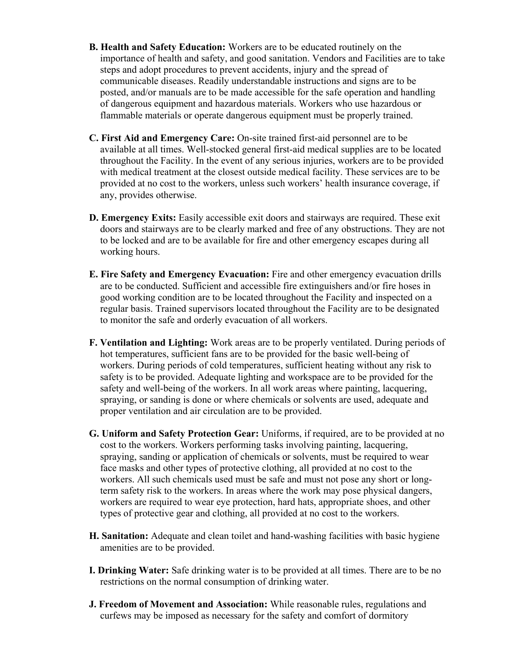- **B. Health and Safety Education:** Workers are to be educated routinely on the importance of health and safety, and good sanitation. Vendors and Facilities are to take steps and adopt procedures to prevent accidents, injury and the spread of communicable diseases. Readily understandable instructions and signs are to be posted, and/or manuals are to be made accessible for the safe operation and handling of dangerous equipment and hazardous materials. Workers who use hazardous or flammable materials or operate dangerous equipment must be properly trained.
- **C. First Aid and Emergency Care:** On-site trained first-aid personnel are to be available at all times. Well-stocked general first-aid medical supplies are to be located throughout the Facility. In the event of any serious injuries, workers are to be provided with medical treatment at the closest outside medical facility. These services are to be provided at no cost to the workers, unless such workers' health insurance coverage, if any, provides otherwise.
- **D. Emergency Exits:** Easily accessible exit doors and stairways are required. These exit doors and stairways are to be clearly marked and free of any obstructions. They are not to be locked and are to be available for fire and other emergency escapes during all working hours.
- **E. Fire Safety and Emergency Evacuation:** Fire and other emergency evacuation drills are to be conducted. Sufficient and accessible fire extinguishers and/or fire hoses in good working condition are to be located throughout the Facility and inspected on a regular basis. Trained supervisors located throughout the Facility are to be designated to monitor the safe and orderly evacuation of all workers.
- **F. Ventilation and Lighting:** Work areas are to be properly ventilated. During periods of hot temperatures, sufficient fans are to be provided for the basic well-being of workers. During periods of cold temperatures, sufficient heating without any risk to safety is to be provided. Adequate lighting and workspace are to be provided for the safety and well-being of the workers. In all work areas where painting, lacquering, spraying, or sanding is done or where chemicals or solvents are used, adequate and proper ventilation and air circulation are to be provided.
- **G. Uniform and Safety Protection Gear:** Uniforms, if required, are to be provided at no cost to the workers. Workers performing tasks involving painting, lacquering, spraying, sanding or application of chemicals or solvents, must be required to wear face masks and other types of protective clothing, all provided at no cost to the workers. All such chemicals used must be safe and must not pose any short or longterm safety risk to the workers. In areas where the work may pose physical dangers, workers are required to wear eye protection, hard hats, appropriate shoes, and other types of protective gear and clothing, all provided at no cost to the workers.
- **H. Sanitation:** Adequate and clean toilet and hand-washing facilities with basic hygiene amenities are to be provided.
- **I. Drinking Water:** Safe drinking water is to be provided at all times. There are to be no restrictions on the normal consumption of drinking water.
- **J. Freedom of Movement and Association:** While reasonable rules, regulations and curfews may be imposed as necessary for the safety and comfort of dormitory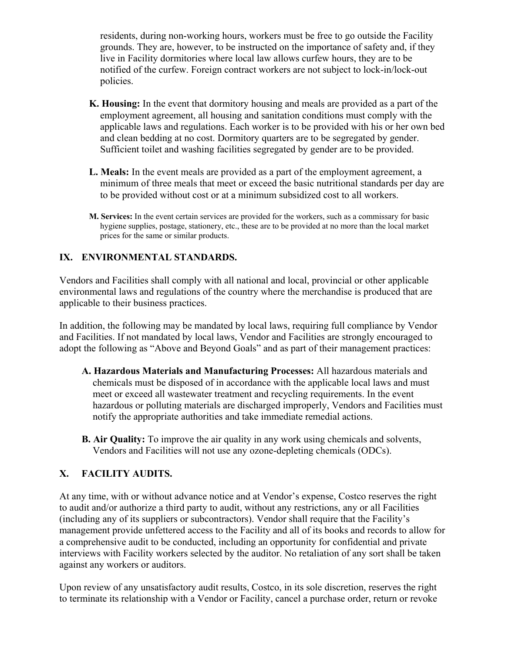residents, during non-working hours, workers must be free to go outside the Facility grounds. They are, however, to be instructed on the importance of safety and, if they live in Facility dormitories where local law allows curfew hours, they are to be notified of the curfew. Foreign contract workers are not subject to lock-in/lock-out policies.

- **K. Housing:** In the event that dormitory housing and meals are provided as a part of the employment agreement, all housing and sanitation conditions must comply with the applicable laws and regulations. Each worker is to be provided with his or her own bed and clean bedding at no cost. Dormitory quarters are to be segregated by gender. Sufficient toilet and washing facilities segregated by gender are to be provided.
- **L. Meals:** In the event meals are provided as a part of the employment agreement, a minimum of three meals that meet or exceed the basic nutritional standards per day are to be provided without cost or at a minimum subsidized cost to all workers.
- **M. Services:** In the event certain services are provided for the workers, such as a commissary for basic hygiene supplies, postage, stationery, etc., these are to be provided at no more than the local market prices for the same or similar products.

## **IX. ENVIRONMENTAL STANDARDS.**

Vendors and Facilities shall comply with all national and local, provincial or other applicable environmental laws and regulations of the country where the merchandise is produced that are applicable to their business practices.

In addition, the following may be mandated by local laws, requiring full compliance by Vendor and Facilities. If not mandated by local laws, Vendor and Facilities are strongly encouraged to adopt the following as "Above and Beyond Goals" and as part of their management practices:

- **A. Hazardous Materials and Manufacturing Processes:** All hazardous materials and chemicals must be disposed of in accordance with the applicable local laws and must meet or exceed all wastewater treatment and recycling requirements. In the event hazardous or polluting materials are discharged improperly, Vendors and Facilities must notify the appropriate authorities and take immediate remedial actions.
- **B. Air Quality:** To improve the air quality in any work using chemicals and solvents, Vendors and Facilities will not use any ozone-depleting chemicals (ODCs).

# **X. FACILITY AUDITS.**

At any time, with or without advance notice and at Vendor's expense, Costco reserves the right to audit and/or authorize a third party to audit, without any restrictions, any or all Facilities (including any of its suppliers or subcontractors). Vendor shall require that the Facility's management provide unfettered access to the Facility and all of its books and records to allow for a comprehensive audit to be conducted, including an opportunity for confidential and private interviews with Facility workers selected by the auditor. No retaliation of any sort shall be taken against any workers or auditors.

Upon review of any unsatisfactory audit results, Costco, in its sole discretion, reserves the right to terminate its relationship with a Vendor or Facility, cancel a purchase order, return or revoke